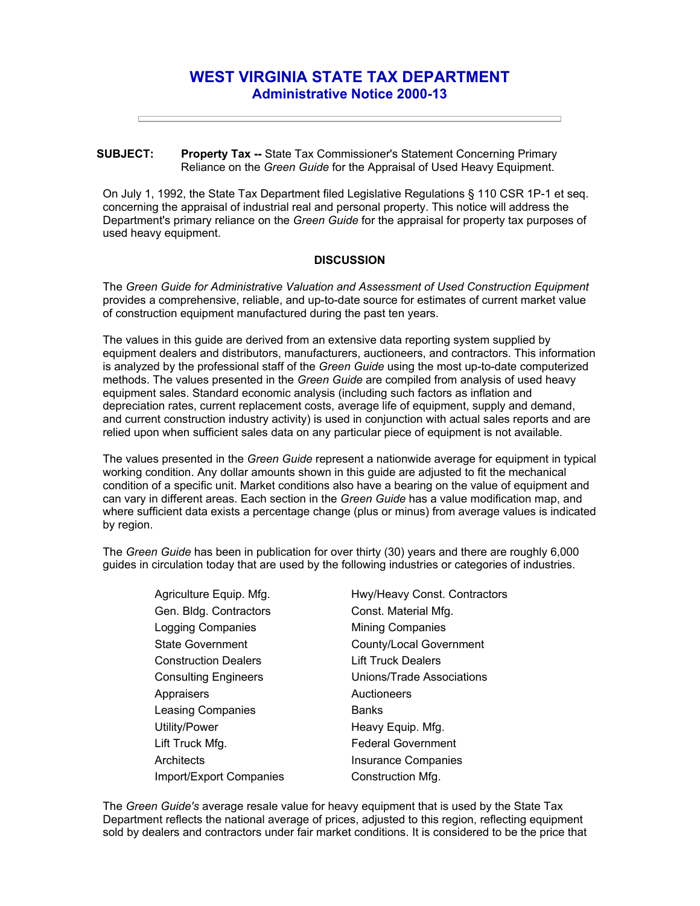## **WEST VIRGINIA STATE TAX DEPARTMENT Administrative Notice 2000-13**

## **SUBJECT: Property Tax --** State Tax Commissioner's Statement Concerning Primary Reliance on the *Green Guide* for the Appraisal of Used Heavy Equipment.

On July 1, 1992, the State Tax Department filed Legislative Regulations § 110 CSR 1P-1 et seq. concerning the appraisal of industrial real and personal property. This notice will address the Department's primary reliance on the *Green Guide* for the appraisal for property tax purposes of used heavy equipment.

## **DISCUSSION**

The *Green Guide for Administrative Valuation and Assessment of Used Construction Equipment* provides a comprehensive, reliable, and up-to-date source for estimates of current market value of construction equipment manufactured during the past ten years.

The values in this guide are derived from an extensive data reporting system supplied by equipment dealers and distributors, manufacturers, auctioneers, and contractors. This information is analyzed by the professional staff of the *Green Guide* using the most up-to-date computerized methods. The values presented in the *Green Guide* are compiled from analysis of used heavy equipment sales. Standard economic analysis (including such factors as inflation and depreciation rates, current replacement costs, average life of equipment, supply and demand, and current construction industry activity) is used in conjunction with actual sales reports and are relied upon when sufficient sales data on any particular piece of equipment is not available.

The values presented in the *Green Guide* represent a nationwide average for equipment in typical working condition. Any dollar amounts shown in this guide are adjusted to fit the mechanical condition of a specific unit. Market conditions also have a bearing on the value of equipment and can vary in different areas. Each section in the *Green Guide* has a value modification map, and where sufficient data exists a percentage change (plus or minus) from average values is indicated by region.

The *Green Guide* has been in publication for over thirty (30) years and there are roughly 6,000 guides in circulation today that are used by the following industries or categories of industries.

| Agriculture Equip. Mfg.        | Hwy/Heavy Const. Contractors |
|--------------------------------|------------------------------|
| Gen. Bldg. Contractors         | Const. Material Mfg.         |
| <b>Logging Companies</b>       | <b>Mining Companies</b>      |
| <b>State Government</b>        | County/Local Government      |
| <b>Construction Dealers</b>    | <b>Lift Truck Dealers</b>    |
| <b>Consulting Engineers</b>    | Unions/Trade Associations    |
| Appraisers                     | Auctioneers                  |
| Leasing Companies              | <b>Banks</b>                 |
| Utility/Power                  | Heavy Equip. Mfg.            |
| Lift Truck Mfg.                | <b>Federal Government</b>    |
| Architects                     | <b>Insurance Companies</b>   |
| <b>Import/Export Companies</b> | Construction Mfg.            |

The *Green Guide's* average resale value for heavy equipment that is used by the State Tax Department reflects the national average of prices, adjusted to this region, reflecting equipment sold by dealers and contractors under fair market conditions. It is considered to be the price that